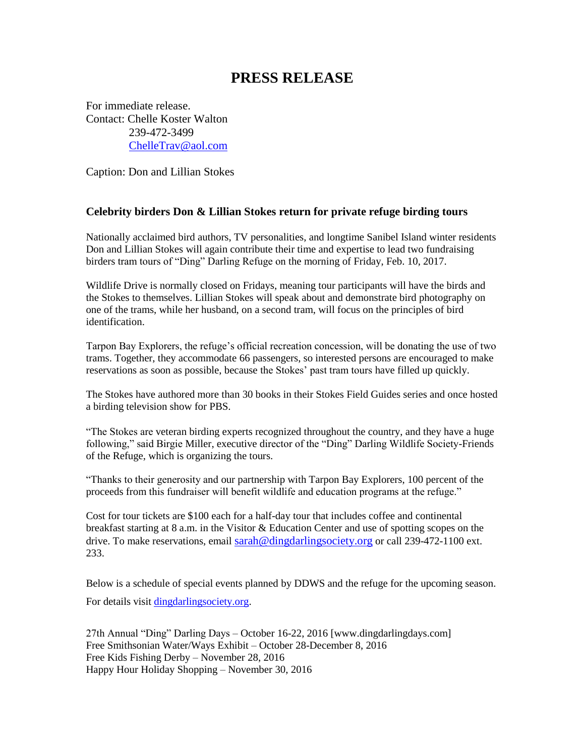## **PRESS RELEASE**

For immediate release. Contact: Chelle Koster Walton 239-472-3499 [ChelleTrav@aol.com](mailto:ChelleTrav@aol.com)

Caption: Don and Lillian Stokes

## **Celebrity birders Don & Lillian Stokes return for private refuge birding tours**

Nationally acclaimed bird authors, TV personalities, and longtime Sanibel Island winter residents Don and Lillian Stokes will again contribute their time and expertise to lead two fundraising birders tram tours of "Ding" Darling Refuge on the morning of Friday, Feb. 10, 2017.

Wildlife Drive is normally closed on Fridays, meaning tour participants will have the birds and the Stokes to themselves. Lillian Stokes will speak about and demonstrate bird photography on one of the trams, while her husband, on a second tram, will focus on the principles of bird identification.

Tarpon Bay Explorers, the refuge's official recreation concession, will be donating the use of two trams. Together, they accommodate 66 passengers, so interested persons are encouraged to make reservations as soon as possible, because the Stokes' past tram tours have filled up quickly.

The Stokes have authored more than 30 books in their Stokes Field Guides series and once hosted a birding television show for PBS.

"The Stokes are veteran birding experts recognized throughout the country, and they have a huge following," said Birgie Miller, executive director of the "Ding" Darling Wildlife Society-Friends of the Refuge, which is organizing the tours.

"Thanks to their generosity and our partnership with Tarpon Bay Explorers, 100 percent of the proceeds from this fundraiser will benefit wildlife and education programs at the refuge."

Cost for tour tickets are \$100 each for a half-day tour that includes coffee and continental breakfast starting at 8 a.m. in the Visitor & Education Center and use of spotting scopes on the drive. To make reservations, email [sarah@dingdarlingsociety.org](mailto:sarah@dingdarlingsociety.org) or call 239-472-1100 ext. 233.

Below is a schedule of special events planned by DDWS and the refuge for the upcoming season. For details visit [dingdarlingsociety.org.](http://www.dingdarlingsociety.org/)

27th Annual "Ding" Darling Days – October 16-22, 2016 [www.dingdarlingdays.com] Free Smithsonian Water/Ways Exhibit – October 28-December 8, 2016 Free Kids Fishing Derby – November 28, 2016 Happy Hour Holiday Shopping – November 30, 2016